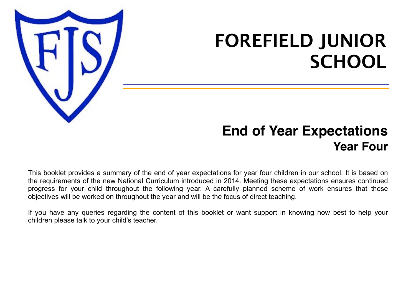

# **FOREFIELD JUNIOR SCHOOL**

## **End of Year Expectations Year Four**

This booklet provides a summary of the end of year expectations for year four children in our school. It is based on the requirements of the new National Curriculum introduced in 2014. Meeting these expectations ensures continued progress for your child throughout the following year. A carefully planned scheme of work ensures that these objectives will be worked on throughout the year and will be the focus of direct teaching.

If you have any queries regarding the content of this booklet or want support in knowing how best to help your children please talk to your child's teacher.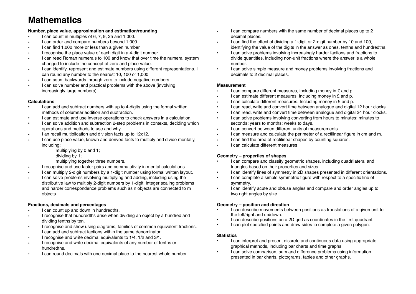### **Mathematics**

### **Number, place value, approximation and estimation/rounding**

- I can count in multiples of 6, 7, 9, 25 and 1,000.
- I can order and compare numbers beyond 1,000.
- I can find 1,000 more or less than a given number.
- I recognise the place value of each digit in a 4-digit number.
- I can read Roman numerals to 100 and know that over time the numeral system changed to include the concept of zero and place value.
- I can identify, represent and estimate numbers using different representations. I can round any number to the nearest 10, 100 or 1,000.
- I can count backwards through zero to include negative numbers.
- I can solve number and practical problems with the above (involving increasingly large numbers).

### **Calculations**

- I can add and subtract numbers with up to 4-digits using the formal written methods of columnar addition and subtraction.
- I can estimate and use inverse operations to check answers in a calculation.
- I can solve addition and subtraction 2-step problems in contexts, deciding which operations and methods to use and why.
- I an recall multiplication and division facts up to 12x12.
- I can use place value, known and derived facts to multiply and divide mentally, including:
	- multiplying by 0 and 1;
	- dividing by 1;
	- multiplying together three numbers.
- I recognise and use factor pairs and commutativity in mental calculations.
- I can multiply 2-digit numbers by a 1-digit number using formal written layout.
- I can solve problems involving multiplying and adding, including using the distributive law to multiply 2-digit numbers by 1-digit, integer scaling problems and harder correspondence problems such as n objects are connected to m objects.

### **Fractions, decimals and percentages**

- I can count up and down in hundredths.
- I recognise that hundredths arise when dividing an object by a hundred and dividing tenths by ten.
- I recognise and show using diagrams, families of common equivalent fractions. I can add and subtract factions within the same denominator.
- I recognise and write decimal equivalents to 1/4, 1/2 and 3⁄4.
- I recognise and write decimal equivalents of any number of tenths or hundredths.
- I can round decimals with one decimal place to the nearest whole number.
- I can compare numbers with the same number of decimal places up to 2 decimal places.
- I can find the effect of dividing a 1-digit or 2-digit number by 10 and 100, identifying the value of the digits in the answer as ones, tenths and hundredths.
- I can solve problems involving increasingly harder factions and fractions to divide quantities, including non-unit fractions where the answer is a whole number.
- I can solve simple measure and money problems involving fractions and decimals to 2 decimal places.

#### **Measurement**

- I can compare different measures, including money in £ and p.
- I can estimate different measures, including money in £ and p.
- I can calculate different measures. Including money in £ and p.
- I can read, write and convert time between analogue and digital 12 hour clocks.
- I can read, write and convert time between analogue and digital 24 hour clocks.
- I can solve problems involving converting from hours to minutes; minutes to seconds; years to months; weeks to days.
- I can convert between different units of measurements
- I can measure and calculate the perimeter of a rectilinear figure in cm and m.
- I can find the area of rectilinear shapes by counting squares.
- I can calculate different measures

### **Geometry – properties of shapes**

- I can compare and classify geometric shapes, including quadrilateral and triangles based on their properties and sizes.
- I can identify lines of symmetry in 2D shapes presented in different orientations.
- I can complete a simple symmetric figure with respect to a specific line of symmetry,
- I can identify acute and obtuse angles and compare and order angles up to two right angles by size.

### **Geometry – position and direction**

- I can describe movements between positions as translations of a given unit to the left/right and up/down.
- I can describe positions on a 2D grid as coordinates in the first quadrant.
- I can plot specified points and draw sides to complete a given polygon.

#### **Statistics**

- I can interpret and present discrete and continuous data using appropriate graphical methods, including bar charts and time graphs.
- I can solve comparison, sum and difference problems using information presented in bar charts, pictograms, tables and other graphs.